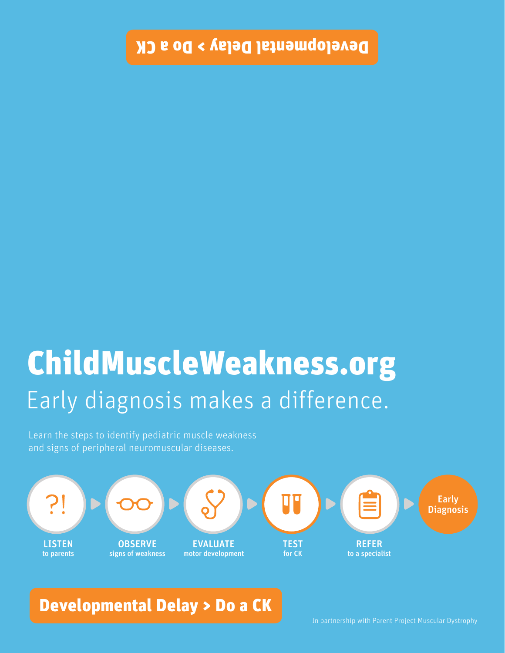## ChildMuscleWeakness.org Early diagnosis makes a difference.

Learn the steps to identify pediatric muscle weakness and signs of peripheral neuromuscular diseases.



## Developmental Delay > Do a CK

In partnership with Parent Project Muscular Dystrophy